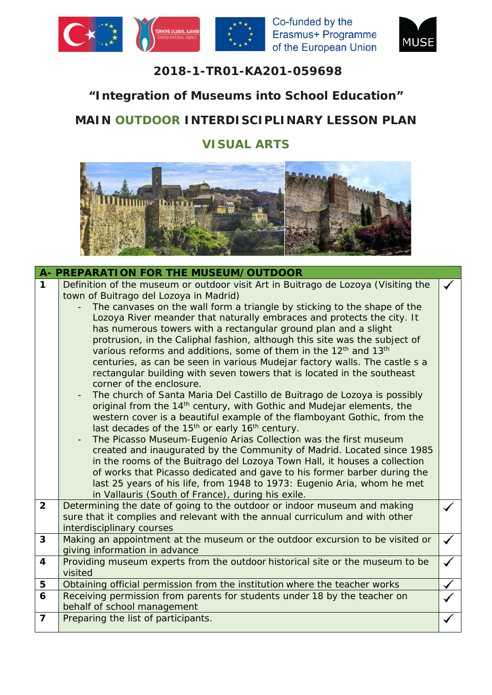





## **2018-1-TR01-KA201-059698**

## **"Integration of Museums into School Education"**

# **MAIN OUTDOOR INTERDISCIPLINARY LESSON PLAN**

## **VISUAL ARTS**



|                         | A- PREPARATION FOR THE MUSEUM/OUTDOOR                                                                                                               |  |  |  |  |  |  |
|-------------------------|-----------------------------------------------------------------------------------------------------------------------------------------------------|--|--|--|--|--|--|
| $\mathbf 1$             | Definition of the museum or outdoor visit Art in Buitrago de Lozoya (Visiting the                                                                   |  |  |  |  |  |  |
|                         | town of Buitrago del Lozoya in Madrid)                                                                                                              |  |  |  |  |  |  |
|                         | The canvases on the wall form a triangle by sticking to the shape of the                                                                            |  |  |  |  |  |  |
|                         | Lozoya River meander that naturally embraces and protects the city. It                                                                              |  |  |  |  |  |  |
|                         | has numerous towers with a rectangular ground plan and a slight<br>protrusion, in the Caliphal fashion, although this site was the subject of       |  |  |  |  |  |  |
|                         | various reforms and additions, some of them in the 12 <sup>th</sup> and 13 <sup>th</sup>                                                            |  |  |  |  |  |  |
|                         | centuries, as can be seen in various Mudejar factory walls. The castle s a                                                                          |  |  |  |  |  |  |
|                         | rectangular building with seven towers that is located in the southeast                                                                             |  |  |  |  |  |  |
|                         | corner of the enclosure.                                                                                                                            |  |  |  |  |  |  |
|                         | The church of Santa Maria Del Castillo de Buitrago de Lozoya is possibly                                                                            |  |  |  |  |  |  |
|                         | original from the 14 <sup>th</sup> century, with Gothic and Mudejar elements, the                                                                   |  |  |  |  |  |  |
|                         | western cover is a beautiful example of the flamboyant Gothic, from the                                                                             |  |  |  |  |  |  |
|                         | last decades of the 15 <sup>th</sup> or early 16 <sup>th</sup> century.                                                                             |  |  |  |  |  |  |
|                         | The Picasso Museum-Eugenio Arias Collection was the first museum<br>$\qquad \qquad -$                                                               |  |  |  |  |  |  |
|                         | created and inaugurated by the Community of Madrid. Located since 1985<br>in the rooms of the Buitrago del Lozoya Town Hall, it houses a collection |  |  |  |  |  |  |
|                         | of works that Picasso dedicated and gave to his former barber during the                                                                            |  |  |  |  |  |  |
|                         | last 25 years of his life, from 1948 to 1973: Eugenio Aria, whom he met                                                                             |  |  |  |  |  |  |
|                         | in Vallauris (South of France), during his exile.                                                                                                   |  |  |  |  |  |  |
| $\overline{2}$          | Determining the date of going to the outdoor or indoor museum and making                                                                            |  |  |  |  |  |  |
|                         | sure that it complies and relevant with the annual curriculum and with other                                                                        |  |  |  |  |  |  |
|                         | interdisciplinary courses                                                                                                                           |  |  |  |  |  |  |
| $\mathbf{3}$            | Making an appointment at the museum or the outdoor excursion to be visited or                                                                       |  |  |  |  |  |  |
|                         | giving information in advance                                                                                                                       |  |  |  |  |  |  |
| $\overline{\mathbf{4}}$ | Providing museum experts from the outdoor historical site or the museum to be                                                                       |  |  |  |  |  |  |
|                         | visited                                                                                                                                             |  |  |  |  |  |  |
| 5<br>6                  | Obtaining official permission from the institution where the teacher works                                                                          |  |  |  |  |  |  |
|                         | Receiving permission from parents for students under 18 by the teacher on<br>behalf of school management                                            |  |  |  |  |  |  |
| $\overline{7}$          | Preparing the list of participants.                                                                                                                 |  |  |  |  |  |  |
|                         |                                                                                                                                                     |  |  |  |  |  |  |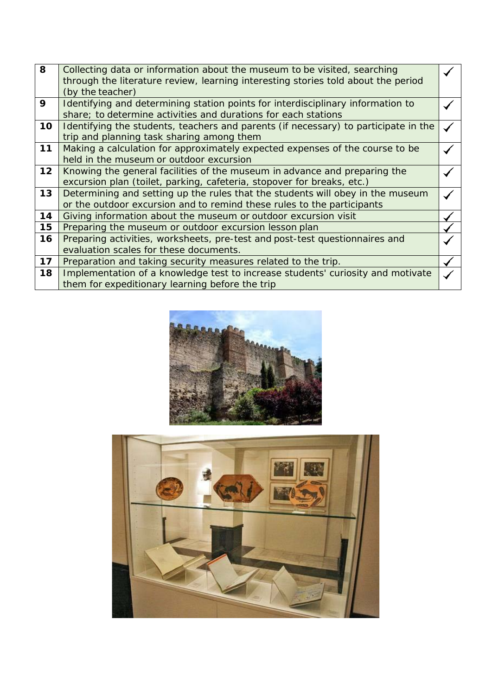| 8  |                                                                                     |  |
|----|-------------------------------------------------------------------------------------|--|
|    | Collecting data or information about the museum to be visited, searching            |  |
|    | through the literature review, learning interesting stories told about the period   |  |
|    | (by the teacher)                                                                    |  |
| 9  | Identifying and determining station points for interdisciplinary information to     |  |
|    | share; to determine activities and durations for each stations                      |  |
| 10 | Identifying the students, teachers and parents (if necessary) to participate in the |  |
|    | trip and planning task sharing among them                                           |  |
| 11 | Making a calculation for approximately expected expenses of the course to be        |  |
|    | held in the museum or outdoor excursion                                             |  |
| 12 | Knowing the general facilities of the museum in advance and preparing the           |  |
|    | excursion plan (toilet, parking, cafeteria, stopover for breaks, etc.)              |  |
| 13 | Determining and setting up the rules that the students will obey in the museum      |  |
|    | or the outdoor excursion and to remind these rules to the participants              |  |
| 14 | Giving information about the museum or outdoor excursion visit                      |  |
| 15 | Preparing the museum or outdoor excursion lesson plan                               |  |
| 16 | Preparing activities, worksheets, pre-test and post-test questionnaires and         |  |
|    | evaluation scales for these documents.                                              |  |
| 17 | Preparation and taking security measures related to the trip.                       |  |
| 18 | Implementation of a knowledge test to increase students' curiosity and motivate     |  |
|    | them for expeditionary learning before the trip                                     |  |
|    |                                                                                     |  |



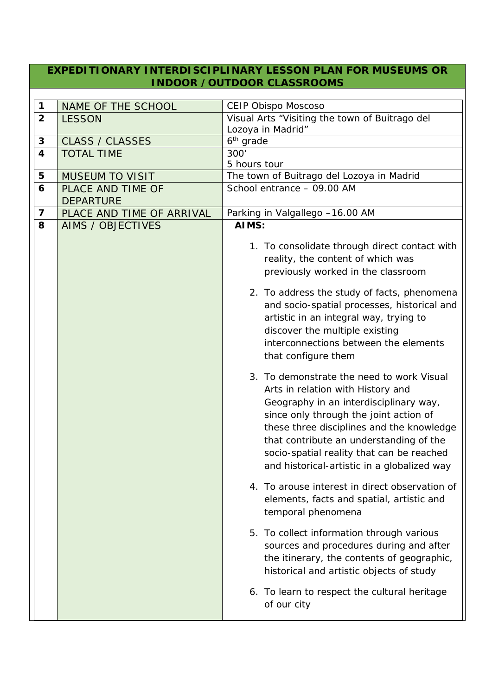#### **EXPEDITIONARY INTERDISCIPLINARY LESSON PLAN FOR MUSEUMS OR INDOOR /OUTDOOR CLASSROOMS**

| $\mathbf 1$             | NAME OF THE SCHOOL                    | <b>CEIP Obispo Moscoso</b>                                                                                                                                                                                                                                                                                                                                         |
|-------------------------|---------------------------------------|--------------------------------------------------------------------------------------------------------------------------------------------------------------------------------------------------------------------------------------------------------------------------------------------------------------------------------------------------------------------|
| $\overline{2}$          | <b>LESSON</b>                         | Visual Arts "Visiting the town of Buitrago del                                                                                                                                                                                                                                                                                                                     |
|                         |                                       | Lozoya in Madrid"                                                                                                                                                                                                                                                                                                                                                  |
| 3                       | <b>CLASS / CLASSES</b>                | $6th$ grade                                                                                                                                                                                                                                                                                                                                                        |
| $\overline{\mathbf{4}}$ | <b>TOTAL TIME</b>                     | 300'                                                                                                                                                                                                                                                                                                                                                               |
|                         |                                       | 5 hours tour                                                                                                                                                                                                                                                                                                                                                       |
| 5                       | <b>MUSEUM TO VISIT</b>                | The town of Buitrago del Lozoya in Madrid                                                                                                                                                                                                                                                                                                                          |
| 6                       | PLACE AND TIME OF<br><b>DEPARTURE</b> | School entrance - 09.00 AM                                                                                                                                                                                                                                                                                                                                         |
| $\overline{\mathbf{z}}$ | PLACE AND TIME OF ARRIVAL             | Parking in Valgallego -16.00 AM                                                                                                                                                                                                                                                                                                                                    |
| 8                       | <b>AIMS / OBJECTIVES</b>              | AIMS:                                                                                                                                                                                                                                                                                                                                                              |
|                         |                                       | 1. To consolidate through direct contact with<br>reality, the content of which was<br>previously worked in the classroom<br>2. To address the study of facts, phenomena<br>and socio-spatial processes, historical and<br>artistic in an integral way, trying to<br>discover the multiple existing<br>interconnections between the elements<br>that configure them |
|                         |                                       | 3. To demonstrate the need to work Visual<br>Arts in relation with History and<br>Geography in an interdisciplinary way,<br>since only through the joint action of<br>these three disciplines and the knowledge<br>that contribute an understanding of the<br>socio-spatial reality that can be reached<br>and historical-artistic in a globalized way             |
|                         |                                       | 4. To arouse interest in direct observation of<br>elements, facts and spatial, artistic and<br>temporal phenomena                                                                                                                                                                                                                                                  |
|                         |                                       | 5. To collect information through various<br>sources and procedures during and after<br>the itinerary, the contents of geographic,<br>historical and artistic objects of study                                                                                                                                                                                     |
|                         |                                       | 6. To learn to respect the cultural heritage<br>of our city                                                                                                                                                                                                                                                                                                        |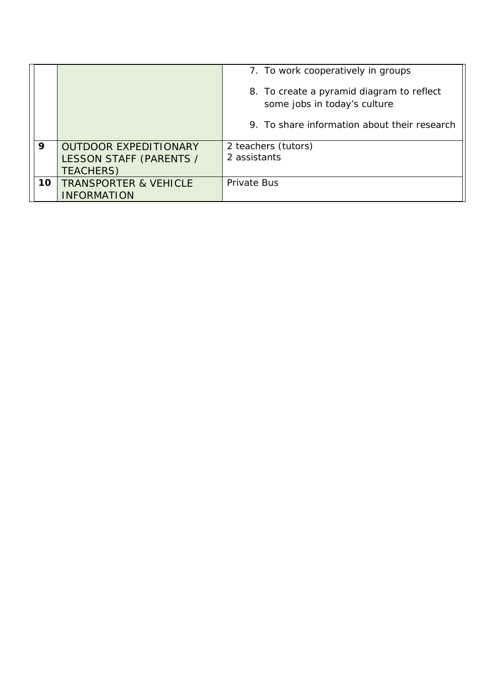|    |                                  | 7. To work cooperatively in groups                                                                                        |
|----|----------------------------------|---------------------------------------------------------------------------------------------------------------------------|
|    |                                  | 8. To create a pyramid diagram to reflect<br>some jobs in today's culture<br>9. To share information about their research |
| 9  | <b>OUTDOOR EXPEDITIONARY</b>     | 2 teachers (tutors)                                                                                                       |
|    |                                  | 2 assistants                                                                                                              |
|    | LESSON STAFF (PARENTS /          |                                                                                                                           |
|    | <b>TEACHERS)</b>                 |                                                                                                                           |
| 10 | <b>TRANSPORTER &amp; VEHICLE</b> | Private Bus                                                                                                               |
|    | <b>INFORMATION</b>               |                                                                                                                           |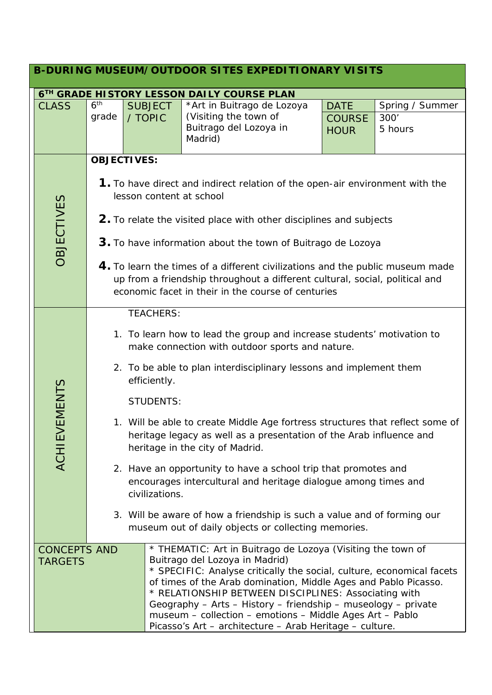| <b>B-DURING MUSEUM/OUTDOOR SITES EXPEDITIONARY VISITS</b> |                 |                                                                                                                                                                                                                                                                                                                                                                                                                                                                                                                                                                                                                                                                                                                                            |                                                                                                                                                                                                                                                                                                                                                                                                                                                                                           |                              |                 |  |  |
|-----------------------------------------------------------|-----------------|--------------------------------------------------------------------------------------------------------------------------------------------------------------------------------------------------------------------------------------------------------------------------------------------------------------------------------------------------------------------------------------------------------------------------------------------------------------------------------------------------------------------------------------------------------------------------------------------------------------------------------------------------------------------------------------------------------------------------------------------|-------------------------------------------------------------------------------------------------------------------------------------------------------------------------------------------------------------------------------------------------------------------------------------------------------------------------------------------------------------------------------------------------------------------------------------------------------------------------------------------|------------------------------|-----------------|--|--|
|                                                           |                 |                                                                                                                                                                                                                                                                                                                                                                                                                                                                                                                                                                                                                                                                                                                                            | 6TH GRADE HISTORY LESSON DAILY COURSE PLAN                                                                                                                                                                                                                                                                                                                                                                                                                                                |                              |                 |  |  |
| <b>CLASS</b>                                              | 6 <sup>th</sup> | <b>SUBJECT</b>                                                                                                                                                                                                                                                                                                                                                                                                                                                                                                                                                                                                                                                                                                                             | *Art in Buitrago de Lozoya                                                                                                                                                                                                                                                                                                                                                                                                                                                                | <b>DATE</b>                  | Spring / Summer |  |  |
|                                                           | grade           | / TOPIC                                                                                                                                                                                                                                                                                                                                                                                                                                                                                                                                                                                                                                                                                                                                    | (Visiting the town of<br>Buitrago del Lozoya in<br>Madrid)                                                                                                                                                                                                                                                                                                                                                                                                                                | <b>COURSE</b><br><b>HOUR</b> | 300'<br>5 hours |  |  |
|                                                           |                 | <b>OBJECTIVES:</b>                                                                                                                                                                                                                                                                                                                                                                                                                                                                                                                                                                                                                                                                                                                         |                                                                                                                                                                                                                                                                                                                                                                                                                                                                                           |                              |                 |  |  |
| <b>OBJECTIVES</b>                                         |                 | <b>1.</b> To have direct and indirect relation of the open-air environment with the<br>lesson content at school<br>2. To relate the visited place with other disciplines and subjects<br>3. To have information about the town of Buitrago de Lozoya<br>4. To learn the times of a different civilizations and the public museum made<br>up from a friendship throughout a different cultural, social, political and<br>economic facet in their in the course of centuries                                                                                                                                                                                                                                                                 |                                                                                                                                                                                                                                                                                                                                                                                                                                                                                           |                              |                 |  |  |
| <b>ACHIEVEMENTS</b>                                       |                 | <b>TEACHERS:</b><br>1. To learn how to lead the group and increase students' motivation to<br>make connection with outdoor sports and nature.<br>2. To be able to plan interdisciplinary lessons and implement them<br>efficiently.<br><b>STUDENTS:</b><br>1. Will be able to create Middle Age fortress structures that reflect some of<br>heritage legacy as well as a presentation of the Arab influence and<br>heritage in the city of Madrid.<br>2. Have an opportunity to have a school trip that promotes and<br>encourages intercultural and heritage dialogue among times and<br>civilizations.<br>3. Will be aware of how a friendship is such a value and of forming our<br>museum out of daily objects or collecting memories. |                                                                                                                                                                                                                                                                                                                                                                                                                                                                                           |                              |                 |  |  |
| <b>CONCEPTS AND</b><br><b>TARGETS</b>                     |                 |                                                                                                                                                                                                                                                                                                                                                                                                                                                                                                                                                                                                                                                                                                                                            | * THEMATIC: Art in Buitrago de Lozoya (Visiting the town of<br>Buitrago del Lozoya in Madrid)<br>* SPECIFIC: Analyse critically the social, culture, economical facets<br>of times of the Arab domination, Middle Ages and Pablo Picasso.<br>* RELATIONSHIP BETWEEN DISCIPLINES: Associating with<br>Geography - Arts - History - friendship - museology - private<br>museum - collection - emotions - Middle Ages Art - Pablo<br>Picasso's Art - architecture - Arab Heritage - culture. |                              |                 |  |  |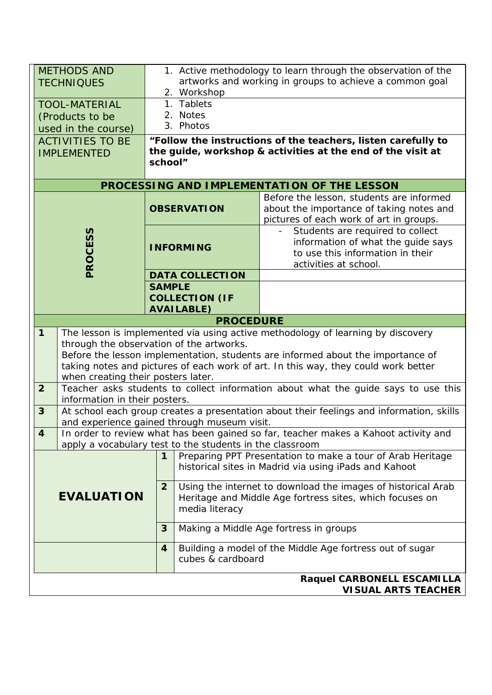| 1. Active methodology to learn through the observation of the<br><b>METHODS AND</b> |                                                                                                                             |                                                                            |                                                                                |                                                                                          |  |
|-------------------------------------------------------------------------------------|-----------------------------------------------------------------------------------------------------------------------------|----------------------------------------------------------------------------|--------------------------------------------------------------------------------|------------------------------------------------------------------------------------------|--|
|                                                                                     | <b>TECHNIQUES</b>                                                                                                           | artworks and working in groups to achieve a common goal<br>2. Workshop     |                                                                                |                                                                                          |  |
|                                                                                     | <b>TOOL-MATERIAL</b>                                                                                                        | 1. Tablets                                                                 |                                                                                |                                                                                          |  |
|                                                                                     | (Products to be                                                                                                             |                                                                            | 2. Notes                                                                       |                                                                                          |  |
|                                                                                     | used in the course)                                                                                                         |                                                                            | 3. Photos                                                                      |                                                                                          |  |
|                                                                                     | <b>ACTIVITIES TO BE</b>                                                                                                     |                                                                            |                                                                                | "Follow the instructions of the teachers, listen carefully to                            |  |
|                                                                                     | the guide, workshop & activities at the end of the visit at<br><b>IMPLEMENTED</b>                                           |                                                                            |                                                                                |                                                                                          |  |
|                                                                                     |                                                                                                                             | school"                                                                    |                                                                                |                                                                                          |  |
|                                                                                     |                                                                                                                             |                                                                            |                                                                                | PROCESSING AND IMPLEMENTATION OF THE LESSON                                              |  |
|                                                                                     |                                                                                                                             |                                                                            |                                                                                | Before the lesson, students are informed                                                 |  |
|                                                                                     |                                                                                                                             |                                                                            | <b>OBSERVATION</b>                                                             | about the importance of taking notes and                                                 |  |
|                                                                                     |                                                                                                                             |                                                                            |                                                                                | pictures of each work of art in groups.                                                  |  |
|                                                                                     |                                                                                                                             |                                                                            |                                                                                | Students are required to collect                                                         |  |
|                                                                                     |                                                                                                                             | <b>INFORMING</b>                                                           |                                                                                | information of what the guide says<br>to use this information in their                   |  |
|                                                                                     | PROCESS                                                                                                                     |                                                                            |                                                                                | activities at school.                                                                    |  |
|                                                                                     |                                                                                                                             |                                                                            | <b>DATA COLLECTION</b>                                                         |                                                                                          |  |
|                                                                                     |                                                                                                                             | <b>SAMPLE</b>                                                              |                                                                                |                                                                                          |  |
|                                                                                     |                                                                                                                             |                                                                            | <b>COLLECTION (IF</b>                                                          |                                                                                          |  |
|                                                                                     |                                                                                                                             |                                                                            | <b>AVAILABLE)</b>                                                              |                                                                                          |  |
|                                                                                     |                                                                                                                             |                                                                            | <b>PROCEDURE</b>                                                               |                                                                                          |  |
| $\mathbf{1}$                                                                        |                                                                                                                             |                                                                            |                                                                                | The lesson is implemented via using active methodology of learning by discovery          |  |
|                                                                                     | through the observation of the artworks.<br>Before the lesson implementation, students are informed about the importance of |                                                                            |                                                                                |                                                                                          |  |
|                                                                                     | taking notes and pictures of each work of art. In this way, they could work better                                          |                                                                            |                                                                                |                                                                                          |  |
|                                                                                     | when creating their posters later.                                                                                          |                                                                            |                                                                                |                                                                                          |  |
| $\overline{2}$                                                                      | information in their posters.                                                                                               |                                                                            |                                                                                | Teacher asks students to collect information about what the guide says to use this       |  |
| $\mathbf{3}$                                                                        |                                                                                                                             |                                                                            |                                                                                | At school each group creates a presentation about their feelings and information, skills |  |
|                                                                                     | and experience gained through museum visit.                                                                                 |                                                                            |                                                                                |                                                                                          |  |
| 4                                                                                   |                                                                                                                             |                                                                            |                                                                                | In order to review what has been gained so far, teacher makes a Kahoot activity and      |  |
|                                                                                     | apply a vocabulary test to the students in the classroom                                                                    | 1                                                                          |                                                                                | Preparing PPT Presentation to make a tour of Arab Heritage                               |  |
|                                                                                     |                                                                                                                             |                                                                            |                                                                                | historical sites in Madrid via using iPads and Kahoot                                    |  |
|                                                                                     | <b>EVALUATION</b>                                                                                                           |                                                                            |                                                                                |                                                                                          |  |
|                                                                                     |                                                                                                                             |                                                                            | Using the internet to download the images of historical Arab<br>$\overline{2}$ |                                                                                          |  |
|                                                                                     |                                                                                                                             | Heritage and Middle Age fortress sites, which focuses on<br>media literacy |                                                                                |                                                                                          |  |
|                                                                                     |                                                                                                                             |                                                                            |                                                                                |                                                                                          |  |
|                                                                                     |                                                                                                                             | 3                                                                          | Making a Middle Age fortress in groups                                         |                                                                                          |  |
|                                                                                     |                                                                                                                             | 4                                                                          | Building a model of the Middle Age fortress out of sugar                       |                                                                                          |  |
|                                                                                     |                                                                                                                             |                                                                            | cubes & cardboard                                                              |                                                                                          |  |
|                                                                                     |                                                                                                                             |                                                                            |                                                                                | Raquel CARBONELL ESCAMILLA                                                               |  |
|                                                                                     |                                                                                                                             |                                                                            |                                                                                | <b>VISUAL ARTS TEACHER</b>                                                               |  |